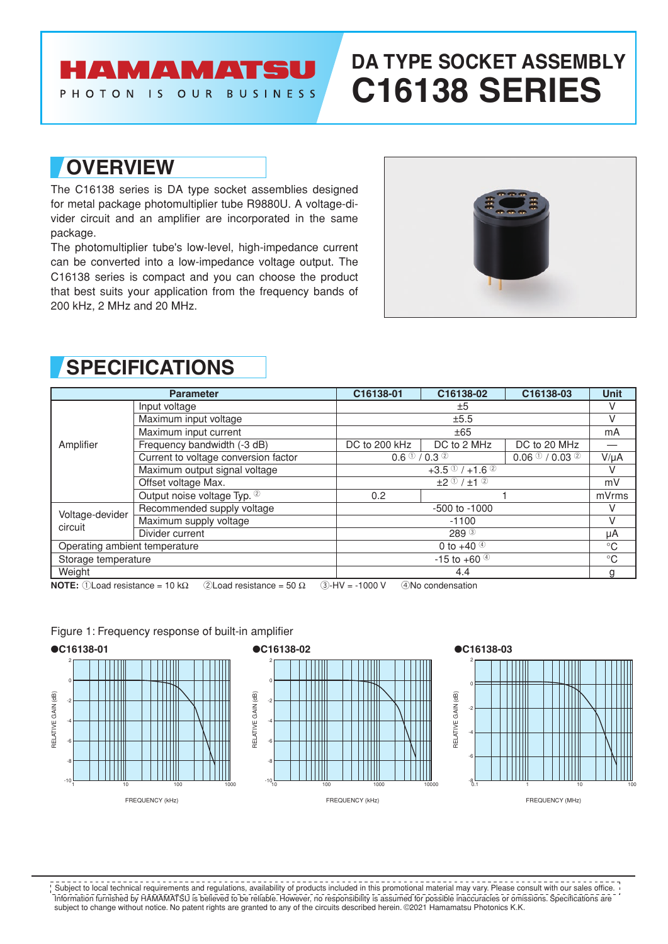### AMAMATSU PHOTON IS OUR BUSINESS

# **DA TYPE SOCKET ASSEMBLY C16138 SERIES**

## **OVERVIEW**

The C16138 series is DA type socket assemblies designed for metal package photomultiplier tube R9880U. A voltage-divider circuit and an amplifier are incorporated in the same package.

The photomultiplier tube's low-level, high-impedance current can be converted into a low-impedance voltage output. The C16138 series is compact and you can choose the product that best suits your application from the frequency bands of 200 kHz, 2 MHz and 20 MHz.



| <b>Parameter</b>              |                                      | C16138-01                                                                   | C16138-02   | C16138-03    | <b>Unit</b> |
|-------------------------------|--------------------------------------|-----------------------------------------------------------------------------|-------------|--------------|-------------|
| Amplifier                     | Input voltage                        | ±5                                                                          |             | V            |             |
|                               | Maximum input voltage                | ±5.5                                                                        |             |              | V           |
|                               | Maximum input current                | ±65                                                                         |             | mA           |             |
|                               | Frequency bandwidth (-3 dB)          | DC to 200 kHz                                                               | DC to 2 MHz | DC to 20 MHz |             |
|                               | Current to voltage conversion factor | $0.06$ (1) / 0.03 <sup>(2)</sup><br>$0.6 \text{ }^{\circ}$ / 0.3 $^{\circ}$ |             | $V/\mu A$    |             |
|                               | Maximum output signal voltage        | $+3.5$ <sup>①</sup> /+1.6 <sup>②</sup>                                      |             | V            |             |
|                               | Offset voltage Max.                  | $±2$ ① / $±1$ ②                                                             |             | mV           |             |
|                               | Output noise voltage Typ. 2          | 0.2                                                                         |             |              | mVrms       |
| Voltage-devider<br>circuit    | Recommended supply voltage           | $-500$ to $-1000$                                                           |             | V            |             |
|                               | Maximum supply voltage               | $-1100$                                                                     |             | v            |             |
|                               | Divider current                      | 289 <sup>3</sup>                                                            |             | μA           |             |
| Operating ambient temperature |                                      | 0 to +40 $\circ$                                                            |             |              | $^{\circ}C$ |
| Storage temperature           |                                      | $-15$ to $+60$ <sup>40</sup>                                                |             |              | $^{\circ}C$ |
| Weight                        |                                      | 4.4                                                                         |             |              | g           |

## **SPECIFICATIONS**

**NOTE:**  $\bigcap$  Load resistance = 10 k $\Omega$   $\bigcap$   $\bigcap$   $\bigcap$  all resistance = 50  $\Omega$   $\bigcap$   $\bigcap$  -1000 V  $\bigcap$   $\bigcap$   $\bigcap$   $\bigcap$   $\bigcap$   $\bigcap$   $\bigcap$ 

### 2 0 RELATIVE GAIN (dB) RELATIVE GAIN (dB) -2 -4 -6 -8 ا 10-<br>1 10 100 1000 FREQUENCY (kHz)

### Figure 1: Frequency response of built-in amplifier



#### 2 0 ATIVE GAIN (dB) RELATIVE GAIN (dB)-2 -4 ᆔ -6 -8 0.1 1 10 100

FREQUENCY (MHz)

Information furnished by HAMAMATSU is believed to be reliable. However, no responsibility is assumed for possible inaccuracies or omissions. Specifications are subject to change without notice. No patent rights are granted to any of the circuits described herein. ©2021 Hamamatsu Photonics K.K. Subject to local technical requirements and regulations, availability of products included in this promotional material may vary. Please consult with our sales office.